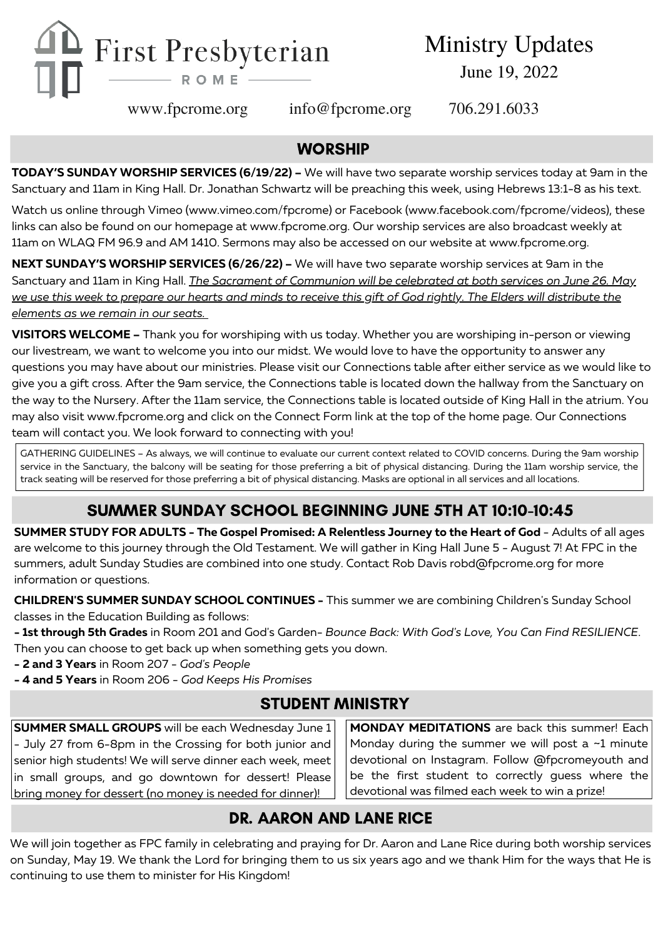

Ministry Updates June 19, 2022

www.fpcrome.org info@fpcrome.org 706.291.6033

#### **WORSHIP**

**TODAY'S SUNDAY WORSHIP SERVICES (6/19/22) –** We will have two separate worship services today at 9am in the Sanctuary and 11am in King Hall. Dr. Jonathan Schwartz will be preaching this week, using Hebrews 13:1-8 as his text.

Watch us online through Vimeo ([www.vimeo.com/fpcrome](http://www.vimeo.com/fpcrome)) or Facebook (www.facebook.com/fpcrome/videos), these links can also be found on our homepage at [www.fpcrome.org.](http://www.fpcrome.org/) Our worship services are also broadcast weekly at 11am on WLAQ FM 96.9 and AM 1410. Sermons may also be accessed on our website at [www.fpcrome.org.](http://www.fpcrome.org/)

**NEXT SUNDAY'S WORSHIP SERVICES (6/26/22) –** We will have two separate worship services at 9am in the Sanctuary and 11am in King Hall. *The Sacrament of Communion will be celebrated at both services on June 26. May* we use this week to prepare our hearts and minds to receive this gift of God rightly. The Elders will distribute the *elements as we remain in our seats.*

**VISITORS WELCOME –** Thank you for worshiping with us today. Whether you are worshiping in-person or viewing our livestream, we want to welcome you into our midst. We would love to have the opportunity to answer any questions you may have about our ministries. Please visit our Connections table after either service as we would like to give you a gift cross. After the 9am service, the Connections table is located down the hallway from the Sanctuary on the way to the Nursery. After the 11am service, the Connections table is located outside of King Hall in the atrium. You may also visit [www.fpcrome.org](http://www.fpcrome.org/) and click on the Connect Form link at the top of the home page. Our Connections team will contact you. We look forward to connecting with you!

GATHERING GUIDELINES – As always, we will continue to evaluate our current context related to COVID concerns. During the 9am worship service in the Sanctuary, the balcony will be seating for those preferring a bit of physical distancing. During the 11am worship service, the track seating will be reserved for those preferring a bit of physical distancing. Masks are optional in all services and all locations.

# SUMMER SUNDAY SCHOOL BEGINNING JUNE 5TH AT 10:10-10:45

**SUMMER STUDY FOR ADULTS - The Gospel Promised: A Relentless Journey to the Heart of God** - Adults of all ages are welcome to this journey through the Old Testament. We will gather in King Hall June 5 - August 7! At FPC in the summers, adult Sunday Studies are combined into one study. Contact Rob Davis [robd@fpcrome.org](mailto:robd@fpcrome.org) for more information or questions.

**CHILDREN'S SUMMER SUNDAY SCHOOL CONTINUES -** This summer we are combining Children's Sunday School classes in the Education Building as follows:

**- 1st through 5th Grades** in Room 201 and God's Garden- *Bounce Back: With God's Love, You Can Find RESILIENCE*. Then you can choose to get back up when something gets you down.

- **- 2 and 3 Years** in Room 207 *God's People*
- **- 4 and 5 Years** in Room 206 *God Keeps His Promises*

# STUDENT MINISTRY

**SUMMER SMALL GROUPS** will be each Wednesday June 1 - July 27 from 6-8pm in the Crossing for both junior and senior high students! We will serve dinner each week, meet in small groups, and go downtown for dessert! Please bring money for dessert (no money is needed for dinner)!

**MONDAY MEDITATIONS** are back this summer! Each Monday during the summer we will post a  $\sim$ 1 minute devotional on Instagram. Follow @fpcromeyouth and be the first student to correctly guess where the devotional was filmed each week to win a prize!

# DR. AARON AND LANE RICE

We will join together as FPC family in celebrating and praying for Dr. Aaron and Lane Rice during both worship services on Sunday, May 19. We thank the Lord for bringing them to us six years ago and we thank Him for the ways that He is continuing to use them to minister for His Kingdom!